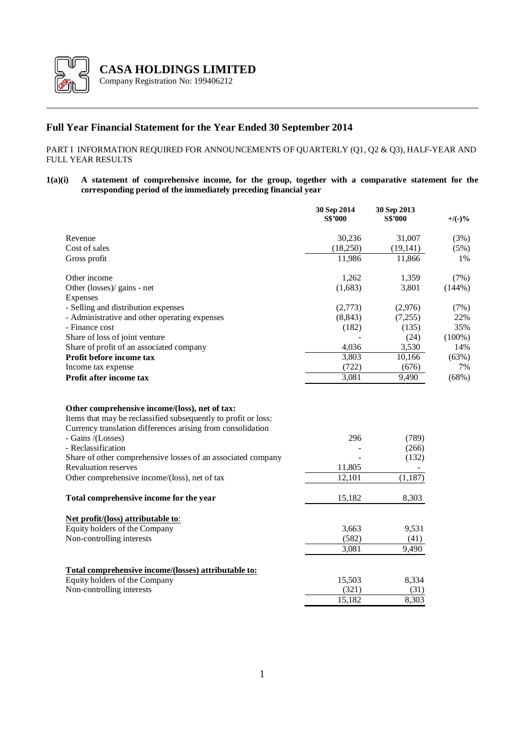

# **Full Year Financial Statement for the Year Ended 30 September 2014**

PART I INFORMATION REQUIRED FOR ANNOUNCEMENTS OF QUARTERLY (Q1, Q2 & Q3), HALF-YEAR AND FULL YEAR RESULTS

## **1(a)(i) A statement of comprehensive income, for the group, together with a comparative statement for the corresponding period of the immediately preceding financial year**

|                                                                                                                                                                                                                                                                                                                          | 30 Sep 2014<br><b>S\$'000</b> | 30 Sep 2013<br><b>S\$'000</b>       | $+$ /(-)% |
|--------------------------------------------------------------------------------------------------------------------------------------------------------------------------------------------------------------------------------------------------------------------------------------------------------------------------|-------------------------------|-------------------------------------|-----------|
| Revenue                                                                                                                                                                                                                                                                                                                  | 30,236                        | 31,007                              | (3%)      |
| Cost of sales                                                                                                                                                                                                                                                                                                            | (18,250)                      | (19, 141)                           | (5%)      |
| Gross profit                                                                                                                                                                                                                                                                                                             | 11,986                        | 11,866                              | 1%        |
| Other income                                                                                                                                                                                                                                                                                                             | 1,262                         | 1,359                               | (7%)      |
| Other (losses)/ gains - net                                                                                                                                                                                                                                                                                              | (1,683)                       | 3,801                               | (144%)    |
| Expenses                                                                                                                                                                                                                                                                                                                 |                               |                                     |           |
| - Selling and distribution expenses                                                                                                                                                                                                                                                                                      | (2,773)                       | (2,976)                             | (7%)      |
| - Administrative and other operating expenses                                                                                                                                                                                                                                                                            | (8, 843)                      | (7,255)                             | 22%       |
| - Finance cost                                                                                                                                                                                                                                                                                                           | (182)                         | (135)                               | 35%       |
| Share of loss of joint venture                                                                                                                                                                                                                                                                                           |                               | (24)                                | $(100\%)$ |
| Share of profit of an associated company                                                                                                                                                                                                                                                                                 | 4,036                         | 3,530                               | 14%       |
| Profit before income tax                                                                                                                                                                                                                                                                                                 | 3,803                         | 10,166                              | (63%)     |
| Income tax expense                                                                                                                                                                                                                                                                                                       | (722)                         | (676)                               | 7%        |
| Profit after income tax                                                                                                                                                                                                                                                                                                  | 3,081                         | 9,490                               | (68%)     |
| Items that may be reclassified subsequently to profit or loss:<br>Currency translation differences arising from consolidation<br>- Gains /(Losses)<br>- Reclassification<br>Share of other comprehensive losses of an associated company<br><b>Revaluation reserves</b><br>Other comprehensive income/(loss), net of tax | 296<br>11,805<br>12,101       | (789)<br>(266)<br>(132)<br>(1, 187) |           |
| Total comprehensive income for the year                                                                                                                                                                                                                                                                                  | 15,182                        | 8,303                               |           |
| Net profit/(loss) attributable to:<br>Equity holders of the Company<br>Non-controlling interests                                                                                                                                                                                                                         | 3,663<br>(582)<br>3,081       | 9,531<br>(41)<br>9,490              |           |
| Total comprehensive income/(losses) attributable to:                                                                                                                                                                                                                                                                     |                               |                                     |           |
| Equity holders of the Company                                                                                                                                                                                                                                                                                            | 15,503                        | 8,334                               |           |
| Non-controlling interests                                                                                                                                                                                                                                                                                                | (321)                         | (31)                                |           |
|                                                                                                                                                                                                                                                                                                                          | 15,182                        | 8,303                               |           |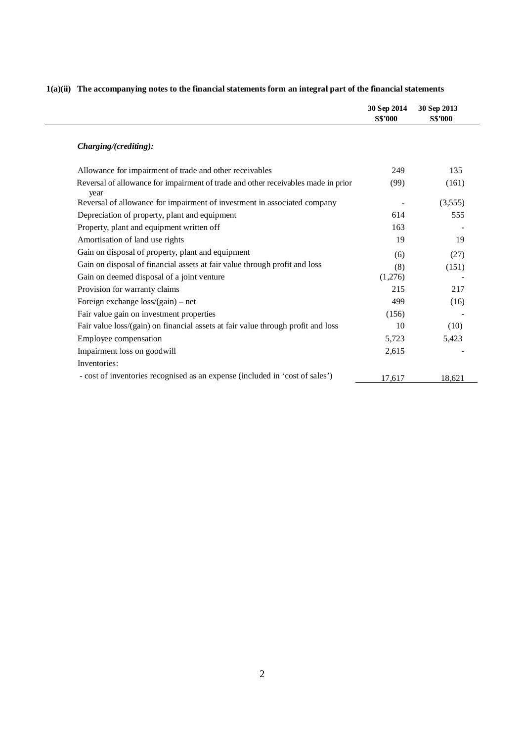|                                                                                           | 30 Sep 2014<br><b>S\$'000</b> | 30 Sep 2013<br><b>S\$'000</b> |
|-------------------------------------------------------------------------------------------|-------------------------------|-------------------------------|
| Charging/(crediting):                                                                     |                               |                               |
| Allowance for impairment of trade and other receivables                                   | 249                           | 135                           |
| Reversal of allowance for impairment of trade and other receivables made in prior<br>year | (99)                          | (161)                         |
| Reversal of allowance for impairment of investment in associated company                  |                               | (3,555)                       |
| Depreciation of property, plant and equipment                                             | 614                           | 555                           |
| Property, plant and equipment written off                                                 | 163                           |                               |
| Amortisation of land use rights                                                           | 19                            | 19                            |
| Gain on disposal of property, plant and equipment                                         | (6)                           | (27)                          |
| Gain on disposal of financial assets at fair value through profit and loss                | (8)                           | (151)                         |
| Gain on deemed disposal of a joint venture                                                | (1,276)                       |                               |
| Provision for warranty claims                                                             | 215                           | 217                           |
| Foreign exchange loss/(gain) - net                                                        | 499                           | (16)                          |
| Fair value gain on investment properties                                                  | (156)                         |                               |
| Fair value loss/(gain) on financial assets at fair value through profit and loss          | 10                            | (10)                          |
| Employee compensation                                                                     | 5,723                         | 5,423                         |
| Impairment loss on goodwill                                                               | 2,615                         |                               |
| Inventories:                                                                              |                               |                               |
| - cost of inventories recognised as an expense (included in 'cost of sales')              | 17,617                        | 18,621                        |

# **1(a)(ii) The accompanying notes to the financial statements form an integral part of the financial statements**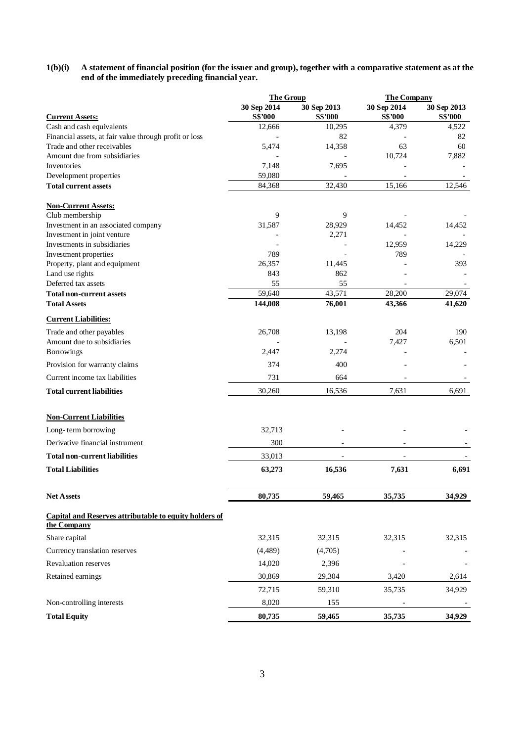#### **1(b)(i) A statement of financial position (for the issuer and group), together with a comparative statement as at the end of the immediately preceding financial year.**

|                                                                              | <b>The Group</b>              |                               | <b>The Company</b>            |                               |
|------------------------------------------------------------------------------|-------------------------------|-------------------------------|-------------------------------|-------------------------------|
| <b>Current Assets:</b>                                                       | 30 Sep 2014<br><b>S\$'000</b> | 30 Sep 2013<br><b>S\$'000</b> | 30 Sep 2014<br><b>S\$'000</b> | 30 Sep 2013<br><b>S\$'000</b> |
| Cash and cash equivalents                                                    | 12,666                        | 10,295                        | 4,379                         | 4,522                         |
| Financial assets, at fair value through profit or loss                       | $\overline{\phantom{m}}$      | 82                            |                               | 82                            |
| Trade and other receivables                                                  | 5,474                         | 14,358                        | 63                            | 60                            |
| Amount due from subsidiaries                                                 |                               |                               | 10,724                        | 7,882                         |
| Inventories                                                                  | 7,148                         | 7,695                         |                               |                               |
| Development properties                                                       | 59,080                        |                               |                               |                               |
| <b>Total current assets</b>                                                  | 84,368                        | 32,430                        | 15,166                        | 12,546                        |
| <b>Non-Current Assets:</b>                                                   |                               |                               |                               |                               |
| Club membership                                                              | 9                             | 9                             |                               |                               |
| Investment in an associated company                                          | 31,587                        | 28,929                        | 14,452                        | 14,452                        |
| Investment in joint venture                                                  |                               | 2,271                         |                               |                               |
| Investments in subsidiaries                                                  | 789                           |                               | 12,959<br>789                 | 14,229                        |
| Investment properties<br>Property, plant and equipment                       | 26,357                        | 11,445                        |                               | 393                           |
| Land use rights                                                              | 843                           | 862                           |                               |                               |
| Deferred tax assets                                                          | 55                            | 55                            |                               |                               |
| <b>Total non-current assets</b>                                              | 59,640                        | 43,571                        | 28,200                        | 29,074                        |
| <b>Total Assets</b>                                                          | 144,008                       | 76,001                        | 43,366                        | 41,620                        |
| <b>Current Liabilities:</b>                                                  |                               |                               |                               |                               |
| Trade and other payables                                                     | 26,708                        | 13,198                        | 204                           | 190                           |
| Amount due to subsidiaries                                                   |                               |                               | 7,427                         | 6,501                         |
| <b>Borrowings</b>                                                            | 2,447                         | 2,274                         |                               |                               |
| Provision for warranty claims                                                | 374                           | 400                           |                               |                               |
| Current income tax liabilities                                               | 731                           | 664                           |                               |                               |
| <b>Total current liabilities</b>                                             | 30,260                        | 16,536                        | 7,631                         | 6,691                         |
| <b>Non-Current Liabilities</b>                                               |                               |                               |                               |                               |
| Long-term borrowing                                                          | 32,713                        |                               |                               |                               |
| Derivative financial instrument                                              | 300                           |                               |                               |                               |
| <b>Total non-current liabilities</b>                                         | 33,013                        | $\overline{a}$                |                               |                               |
| <b>Total Liabilities</b>                                                     | 63,273                        | 16,536                        | 7,631                         | 6,691                         |
| <b>Net Assets</b>                                                            | 80,735                        | 59,465                        | 35,735                        | 34,929                        |
| <b>Capital and Reserves attributable to equity holders of</b><br>the Company |                               |                               |                               |                               |
| Share capital                                                                | 32,315                        | 32,315                        | 32,315                        | 32,315                        |
| Currency translation reserves                                                | (4,489)                       | (4,705)                       |                               |                               |
| <b>Revaluation reserves</b>                                                  |                               |                               |                               |                               |
|                                                                              | 14,020                        | 2,396                         |                               |                               |
| Retained earnings                                                            | 30,869                        | 29,304                        | 3,420                         | 2,614                         |
|                                                                              | 72,715                        | 59,310                        | 35,735                        | 34,929                        |
| Non-controlling interests                                                    | 8,020                         | 155                           |                               |                               |
| <b>Total Equity</b>                                                          | 80,735                        | 59,465                        | 35,735                        | 34,929                        |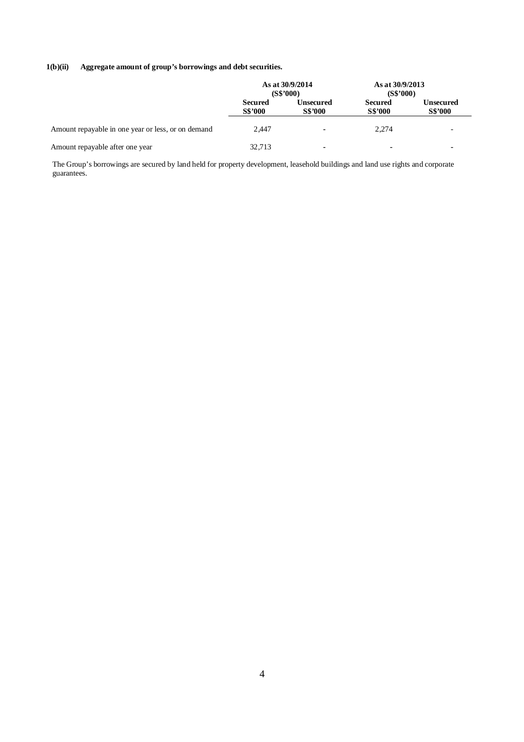## **1(b)(ii) Aggregate amount of group's borrowings and debt securities.**

|                                                    | As at 30/9/2014<br>(S\$'000)     |                             | As at 30/9/2013<br>(S\$'000)     |                             |
|----------------------------------------------------|----------------------------------|-----------------------------|----------------------------------|-----------------------------|
|                                                    | <b>Secured</b><br><b>S\$'000</b> | Unsecured<br><b>S\$'000</b> | <b>Secured</b><br><b>S\$'000</b> | Unsecured<br><b>S\$'000</b> |
| Amount repayable in one year or less, or on demand | 2.447                            | $\blacksquare$              | 2.274                            |                             |
| Amount repayable after one year                    | 32,713                           | $\blacksquare$              | ۰                                |                             |

The Group's borrowings are secured by land held for property development, leasehold buildings and land use rights and corporate guarantees.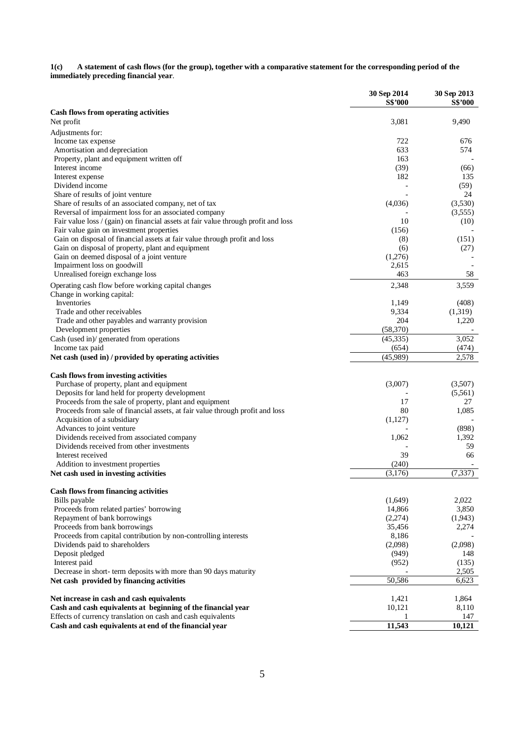**1(c) A statement of cash flows (for the group), together with a comparative statement for the corresponding period of the immediately preceding financial year**.

|                                                                                                 | 30 Sep 2014<br><b>S\$'000</b> | 30 Sep 2013<br><b>S\$'000</b> |
|-------------------------------------------------------------------------------------------------|-------------------------------|-------------------------------|
| <b>Cash flows from operating activities</b>                                                     |                               |                               |
| Net profit                                                                                      | 3,081                         | 9,490                         |
| Adjustments for:                                                                                |                               |                               |
| Income tax expense                                                                              | 722                           | 676                           |
| Amortisation and depreciation                                                                   | 633                           | 574                           |
| Property, plant and equipment written off                                                       | 163                           |                               |
| Interest income                                                                                 | (39)                          | (66)                          |
| Interest expense                                                                                | 182                           | 135                           |
| Dividend income                                                                                 |                               | (59)                          |
| Share of results of joint venture                                                               |                               | 24                            |
| Share of results of an associated company, net of tax                                           | (4,036)                       | (3,530)                       |
| Reversal of impairment loss for an associated company                                           |                               | (3,555)                       |
| Fair value loss / (gain) on financial assets at fair value through profit and loss              | 10                            | (10)                          |
| Fair value gain on investment properties                                                        | (156)                         |                               |
| Gain on disposal of financial assets at fair value through profit and loss                      | (8)                           | (151)                         |
| Gain on disposal of property, plant and equipment<br>Gain on deemed disposal of a joint venture | (6)<br>(1,276)                | (27)                          |
| Impairment loss on goodwill                                                                     | 2,615                         |                               |
| Unrealised foreign exchange loss                                                                | 463                           | 58                            |
|                                                                                                 |                               |                               |
| Operating cash flow before working capital changes                                              | 2,348                         | 3,559                         |
| Change in working capital:<br>Inventories                                                       |                               |                               |
| Trade and other receivables                                                                     | 1,149<br>9,334                | (408)<br>(1,319)              |
| Trade and other payables and warranty provision                                                 | 204                           | 1,220                         |
| Development properties                                                                          | (58,370)                      |                               |
| Cash (used in)/ generated from operations                                                       | (45, 335)                     | 3.052                         |
| Income tax paid                                                                                 | (654)                         | (474)                         |
| Net cash (used in) / provided by operating activities                                           | (45,989)                      | 2,578                         |
| <b>Cash flows from investing activities</b>                                                     |                               |                               |
| Purchase of property, plant and equipment                                                       | (3,007)                       | (3,507)                       |
| Deposits for land held for property development                                                 |                               | (5,561)                       |
| Proceeds from the sale of property, plant and equipment                                         | 17                            | 27                            |
| Proceeds from sale of financial assets, at fair value through profit and loss                   | 80                            | 1,085                         |
| Acquisition of a subsidiary                                                                     | (1,127)                       |                               |
| Advances to joint venture                                                                       |                               | (898)                         |
| Dividends received from associated company                                                      | 1,062                         | 1,392                         |
| Dividends received from other investments                                                       |                               | 59                            |
| Interest received                                                                               | 39                            | 66                            |
| Addition to investment properties                                                               | (240)                         |                               |
| Net cash used in investing activities                                                           | (3,176)                       | (7, 337)                      |
| <b>Cash flows from financing activities</b>                                                     |                               |                               |
| Bills payable                                                                                   | (1,649)                       | 2,022                         |
| Proceeds from related parties' borrowing                                                        | 14,866                        | 3,850                         |
| Repayment of bank borrowings                                                                    | (2,274)                       | (1,943)                       |
| Proceeds from bank borrowings                                                                   | 35,456                        | 2,274                         |
| Proceeds from capital contribution by non-controlling interests                                 | 8,186                         |                               |
| Dividends paid to shareholders                                                                  | (2,098)                       | (2,098)                       |
| Deposit pledged                                                                                 | (949)                         | 148                           |
| Interest paid                                                                                   | (952)                         | (135)                         |
| Decrease in short-term deposits with more than 90 days maturity                                 |                               | 2,505                         |
| Net cash provided by financing activities                                                       | 50,586                        | 6,623                         |
| Net increase in cash and cash equivalents                                                       | 1,421                         | 1,864                         |
| Cash and cash equivalents at beginning of the financial year                                    | 10,121                        | 8,110                         |
| Effects of currency translation on cash and cash equivalents                                    | 1                             | 147                           |
| Cash and cash equivalents at end of the financial year                                          | 11,543                        | 10,121                        |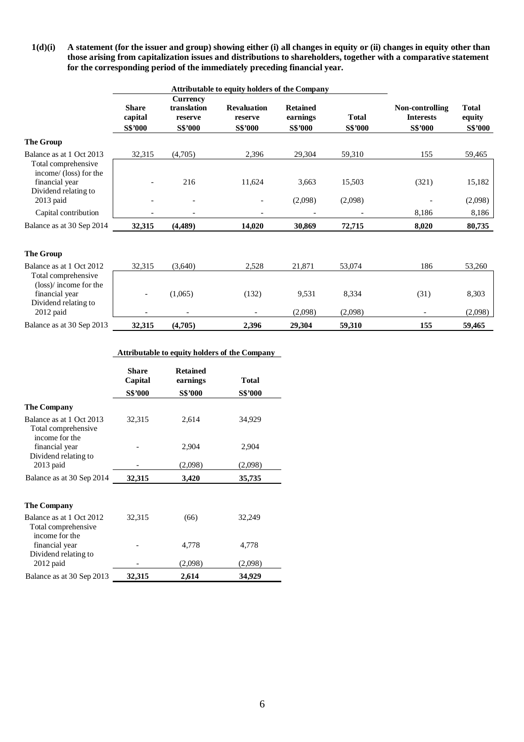**1(d)(i) A statement (for the issuer and group) showing either (i) all changes in equity or (ii) changes in equity other than those arising from capitalization issues and distributions to shareholders, together with a comparative statement for the corresponding period of the immediately preceding financial year.** 

|                                                                                                        | Attributable to equity holders of the Company |                                                      |                                                 |                                               |                         |                                                       |                                          |
|--------------------------------------------------------------------------------------------------------|-----------------------------------------------|------------------------------------------------------|-------------------------------------------------|-----------------------------------------------|-------------------------|-------------------------------------------------------|------------------------------------------|
|                                                                                                        | <b>Share</b><br>capital<br><b>S\$'000</b>     | <b>Currency</b><br>translation<br>reserve<br>S\$'000 | <b>Revaluation</b><br>reserve<br><b>S\$'000</b> | <b>Retained</b><br>earnings<br><b>S\$'000</b> | <b>Total</b><br>S\$'000 | Non-controlling<br><b>Interests</b><br><b>S\$'000</b> | <b>Total</b><br>equity<br><b>S\$'000</b> |
| <b>The Group</b>                                                                                       |                                               |                                                      |                                                 |                                               |                         |                                                       |                                          |
| Balance as at 1 Oct 2013                                                                               | 32,315                                        | (4,705)                                              | 2,396                                           | 29,304                                        | 59,310                  | 155                                                   | 59,465                                   |
| Total comprehensive<br>income/ (loss) for the<br>financial year<br>Dividend relating to<br>$2013$ paid |                                               | 216<br>$\overline{a}$                                | 11,624                                          | 3,663<br>(2,098)                              | 15,503<br>(2,098)       | (321)                                                 | 15,182<br>(2,098)                        |
| Capital contribution                                                                                   |                                               |                                                      |                                                 |                                               |                         | 8,186                                                 | 8,186                                    |
|                                                                                                        |                                               |                                                      |                                                 |                                               |                         |                                                       |                                          |
| Balance as at 30 Sep 2014                                                                              | 32,315                                        | (4,489)                                              | 14,020                                          | 30,869                                        | 72,715                  | 8,020                                                 | 80,735                                   |
| <b>The Group</b>                                                                                       |                                               |                                                      |                                                 |                                               |                         |                                                       |                                          |
| Balance as at 1 Oct 2012                                                                               | 32,315                                        | (3,640)                                              | 2,528                                           | 21,871                                        | 53,074                  | 186                                                   | 53,260                                   |
| Total comprehensive<br>(loss)/income for the<br>financial year<br>Dividend relating to<br>$2012$ paid  |                                               | (1,065)                                              | (132)                                           | 9,531<br>(2,098)                              | 8,334<br>(2,098)        | (31)                                                  | 8,303<br>(2,098)                         |
| Balance as at 30 Sep 2013                                                                              | 32,315                                        | (4,705)                                              | 2,396                                           | 29,304                                        | 59,310                  | 155                                                   | 59,465                                   |
|                                                                                                        |                                               |                                                      |                                                 |                                               |                         |                                                       |                                          |

## **Attributable to equity holders of the Company**

|                                                                   | Share<br>Capital<br>S\$'000 | <b>Retained</b><br>earnings<br><b>S\$'000</b> | <b>Total</b><br><b>S\$'000</b> |
|-------------------------------------------------------------------|-----------------------------|-----------------------------------------------|--------------------------------|
| <b>The Company</b>                                                |                             |                                               |                                |
| Balance as at 1 Oct 2013<br>Total comprehensive<br>income for the | 32,315                      | 2,614                                         | 34,929                         |
| financial year<br>Dividend relating to                            |                             | 2,904                                         | 2,904                          |
| $2013$ paid                                                       |                             | (2,098)                                       | (2,098)                        |
| Balance as at 30 Sep 2014                                         | 32,315                      | 3,420                                         | 35,735                         |
| <b>The Company</b>                                                |                             |                                               |                                |
| Balance as at 1 Oct 2012<br>Total comprehensive<br>income for the | 32,315                      | (66)                                          | 32,249                         |
| financial year<br>Dividend relating to                            |                             | 4,778                                         | 4,778                          |
| $2012$ paid                                                       |                             | (2,098)                                       | (2,098)                        |
| Balance as at 30 Sep 2013                                         | 32,315                      | 2,614                                         | 34,929                         |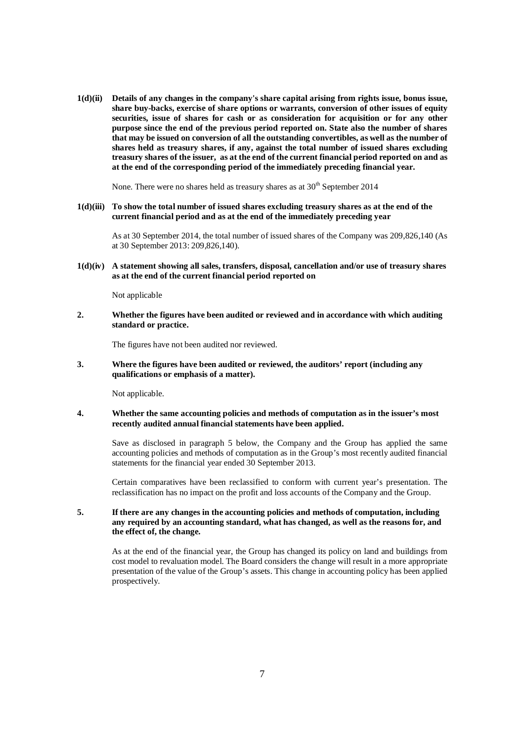**1(d)(ii) Details of any changes in the company's share capital arising from rights issue, bonus issue, share buy-backs, exercise of share options or warrants, conversion of other issues of equity securities, issue of shares for cash or as consideration for acquisition or for any other purpose since the end of the previous period reported on. State also the number of shares that may be issued on conversion of all the outstanding convertibles, as well as the number of shares held as treasury shares, if any, against the total number of issued shares excluding treasury shares of the issuer, as at the end of the current financial period reported on and as at the end of the corresponding period of the immediately preceding financial year.** 

None. There were no shares held as treasury shares as at  $30<sup>th</sup>$  September 2014

**1(d)(iii) To show the total number of issued shares excluding treasury shares as at the end of the current financial period and as at the end of the immediately preceding year**

As at 30 September 2014, the total number of issued shares of the Company was 209,826,140 (As at 30 September 2013: 209,826,140).

### **1(d)(iv) A statement showing all sales, transfers, disposal, cancellation and/or use of treasury shares as at the end of the current financial period reported on**

Not applicable

**2. Whether the figures have been audited or reviewed and in accordance with which auditing standard or practice.** 

The figures have not been audited nor reviewed.

**3. Where the figures have been audited or reviewed, the auditors' report (including any qualifications or emphasis of a matter).** 

Not applicable.

#### **4. Whether the same accounting policies and methods of computation as in the issuer's most recently audited annual financial statements have been applied.**

Save as disclosed in paragraph 5 below, the Company and the Group has applied the same accounting policies and methods of computation as in the Group's most recently audited financial statements for the financial year ended 30 September 2013.

Certain comparatives have been reclassified to conform with current year's presentation. The reclassification has no impact on the profit and loss accounts of the Company and the Group.

#### **5. If there are any changes in the accounting policies and methods of computation, including any required by an accounting standard, what has changed, as well as the reasons for, and the effect of, the change.**

As at the end of the financial year, the Group has changed its policy on land and buildings from cost model to revaluation model. The Board considers the change will result in a more appropriate presentation of the value of the Group's assets. This change in accounting policy has been applied prospectively.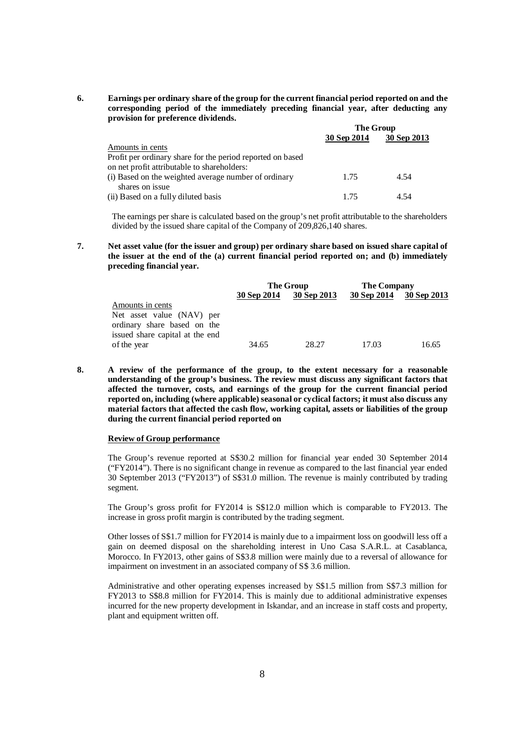**6. Earnings per ordinary share of the group for the current financial period reported on and the corresponding period of the immediately preceding financial year, after deducting any provision for preference dividends.** 

|                                                            | <b>The Group</b> |             |  |
|------------------------------------------------------------|------------------|-------------|--|
|                                                            | 30 Sep 2014      | 30 Sep 2013 |  |
| Amounts in cents                                           |                  |             |  |
| Profit per ordinary share for the period reported on based |                  |             |  |
| on net profit attributable to shareholders:                |                  |             |  |
| (i) Based on the weighted average number of ordinary       | 1.75             | 4.54        |  |
| shares on issue                                            |                  |             |  |
| (ii) Based on a fully diluted basis                        | 1.75             | 4.54        |  |

The earnings per share is calculated based on the group's net profit attributable to the shareholders divided by the issued share capital of the Company of 209,826,140 shares.

**7. Net asset value (for the issuer and group) per ordinary share based on issued share capital of the issuer at the end of the (a) current financial period reported on; and (b) immediately preceding financial year.** 

|                                                                                             |             | The Group   | <b>The Company</b> |             |
|---------------------------------------------------------------------------------------------|-------------|-------------|--------------------|-------------|
|                                                                                             | 30 Sep 2014 | 30 Sep 2013 | 30 Sep 2014        | 30 Sep 2013 |
| Amounts in cents                                                                            |             |             |                    |             |
| Net asset value (NAV) per<br>ordinary share based on the<br>issued share capital at the end |             |             |                    |             |
| of the year                                                                                 | 34.65       | 28.27       | 17.03              | 16.65       |

**8. A review of the performance of the group, to the extent necessary for a reasonable understanding of the group's business. The review must discuss any significant factors that affected the turnover, costs, and earnings of the group for the current financial period reported on, including (where applicable) seasonal or cyclical factors; it must also discuss any material factors that affected the cash flow, working capital, assets or liabilities of the group during the current financial period reported on**

## **Review of Group performance**

The Group's revenue reported at S\$30.2 million for financial year ended 30 September 2014 ("FY2014"). There is no significant change in revenue as compared to the last financial year ended 30 September 2013 ("FY2013") of S\$31.0 million. The revenue is mainly contributed by trading segment.

The Group's gross profit for FY2014 is S\$12.0 million which is comparable to FY2013. The increase in gross profit margin is contributed by the trading segment.

Other losses of S\$1.7 million for FY2014 is mainly due to a impairment loss on goodwill less off a gain on deemed disposal on the shareholding interest in Uno Casa S.A.R.L. at Casablanca, Morocco. In FY2013, other gains of S\$3.8 million were mainly due to a reversal of allowance for impairment on investment in an associated company of S\$ 3.6 million.

Administrative and other operating expenses increased by S\$1.5 million from S\$7.3 million for FY2013 to S\$8.8 million for FY2014. This is mainly due to additional administrative expenses incurred for the new property development in Iskandar, and an increase in staff costs and property, plant and equipment written off.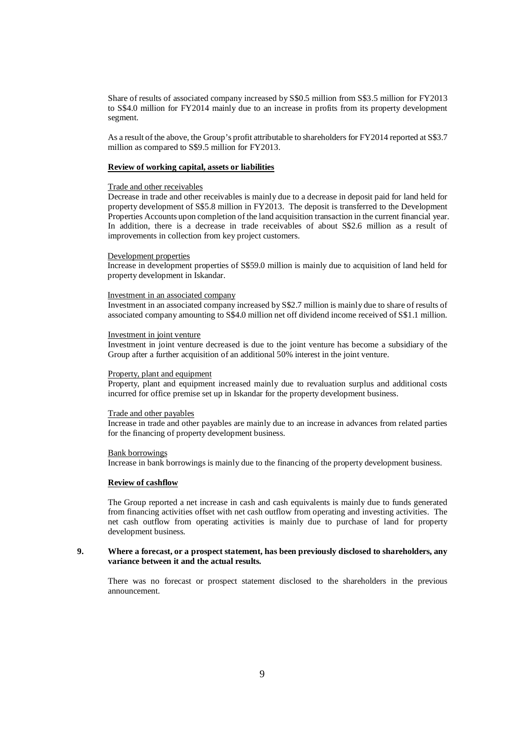Share of results of associated company increased by S\$0.5 million from S\$3.5 million for FY2013 to S\$4.0 million for FY2014 mainly due to an increase in profits from its property development segment.

As a result of the above, the Group's profit attributable to shareholders for FY2014 reported at S\$3.7 million as compared to S\$9.5 million for FY2013.

#### **Review of working capital, assets or liabilities**

#### Trade and other receivables

Decrease in trade and other receivables is mainly due to a decrease in deposit paid for land held for property development of S\$5.8 million in FY2013. The deposit is transferred to the Development Properties Accounts upon completion of the land acquisition transaction in the current financial year. In addition, there is a decrease in trade receivables of about S\$2.6 million as a result of improvements in collection from key project customers.

#### Development properties

Increase in development properties of S\$59.0 million is mainly due to acquisition of land held for property development in Iskandar.

#### Investment in an associated company

Investment in an associated company increased by S\$2.7 million is mainly due to share of results of associated company amounting to S\$4.0 million net off dividend income received of S\$1.1 million.

### Investment in joint venture

Investment in joint venture decreased is due to the joint venture has become a subsidiary of the Group after a further acquisition of an additional 50% interest in the joint venture.

#### Property, plant and equipment

Property, plant and equipment increased mainly due to revaluation surplus and additional costs incurred for office premise set up in Iskandar for the property development business.

#### Trade and other payables

Increase in trade and other payables are mainly due to an increase in advances from related parties for the financing of property development business.

#### Bank borrowings

Increase in bank borrowings is mainly due to the financing of the property development business.

## **Review of cashflow**

The Group reported a net increase in cash and cash equivalents is mainly due to funds generated from financing activities offset with net cash outflow from operating and investing activities. The net cash outflow from operating activities is mainly due to purchase of land for property development business.

#### **9. Where a forecast, or a prospect statement, has been previously disclosed to shareholders, any variance between it and the actual results.**

There was no forecast or prospect statement disclosed to the shareholders in the previous announcement.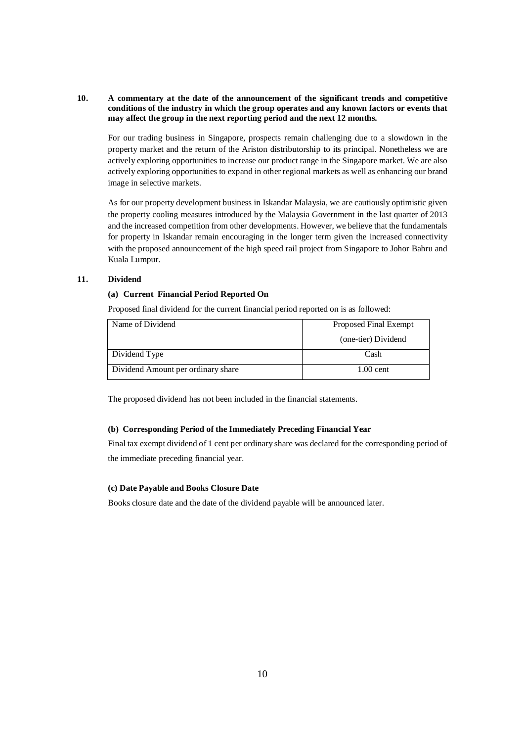### **10. A commentary at the date of the announcement of the significant trends and competitive conditions of the industry in which the group operates and any known factors or events that may affect the group in the next reporting period and the next 12 months.**

For our trading business in Singapore, prospects remain challenging due to a slowdown in the property market and the return of the Ariston distributorship to its principal. Nonetheless we are actively exploring opportunities to increase our product range in the Singapore market. We are also actively exploring opportunities to expand in other regional markets as well as enhancing our brand image in selective markets.

As for our property development business in Iskandar Malaysia, we are cautiously optimistic given the property cooling measures introduced by the Malaysia Government in the last quarter of 2013 and the increased competition from other developments. However, we believe that the fundamentals for property in Iskandar remain encouraging in the longer term given the increased connectivity with the proposed announcement of the high speed rail project from Singapore to Johor Bahru and Kuala Lumpur.

### **11. Dividend**

## **(a) Current Financial Period Reported On**

Proposed final dividend for the current financial period reported on is as followed:

| Name of Dividend                   | Proposed Final Exempt |
|------------------------------------|-----------------------|
|                                    | (one-tier) Dividend   |
| Dividend Type                      | Cash                  |
| Dividend Amount per ordinary share | $1.00$ cent.          |

The proposed dividend has not been included in the financial statements.

### **(b) Corresponding Period of the Immediately Preceding Financial Year**

Final tax exempt dividend of 1 cent per ordinary share was declared for the corresponding period of the immediate preceding financial year.

## **(c) Date Payable and Books Closure Date**

Books closure date and the date of the dividend payable will be announced later.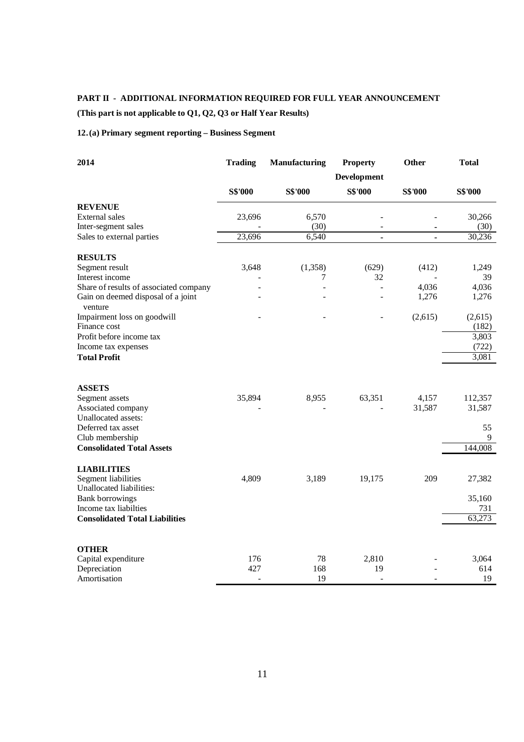# **PART II - ADDITIONAL INFORMATION REQUIRED FOR FULL YEAR ANNOUNCEMENT**

# **(This part is not applicable to Q1, Q2, Q3 or Half Year Results)**

# **12.(a) Primary segment reporting – Business Segment**

| 2014                                                                                    | <b>Trading</b> | <b>Manufacturing</b> | <b>Property</b>          | Other          | <b>Total</b>     |
|-----------------------------------------------------------------------------------------|----------------|----------------------|--------------------------|----------------|------------------|
|                                                                                         |                |                      | Development              |                |                  |
|                                                                                         | <b>S\$'000</b> | <b>S\$'000</b>       | <b>S\$'000</b>           | <b>S\$'000</b> | <b>S\$'000</b>   |
| <b>REVENUE</b>                                                                          |                |                      |                          |                |                  |
| External sales                                                                          | 23,696         | 6,570                |                          |                | 30,266           |
| Inter-segment sales                                                                     |                | (30)                 |                          | ٠              | (30)             |
| Sales to external parties                                                               | 23,696         | 6,540                | $\blacksquare$           | ä,             | 30,236           |
| <b>RESULTS</b>                                                                          |                |                      |                          |                |                  |
| Segment result                                                                          | 3,648          | (1,358)              | (629)                    | (412)          | 1,249            |
| Interest income                                                                         |                | 7                    | 32                       |                | 39               |
| Share of results of associated company<br>Gain on deemed disposal of a joint<br>venture |                |                      |                          | 4,036<br>1,276 | 4,036<br>1,276   |
| Impairment loss on goodwill<br>Finance cost                                             |                |                      |                          | (2,615)        | (2,615)<br>(182) |
| Profit before income tax                                                                |                |                      |                          |                | 3,803            |
| Income tax expenses                                                                     |                |                      |                          |                | (722)            |
| <b>Total Profit</b>                                                                     |                |                      |                          |                | 3,081            |
|                                                                                         |                |                      |                          |                |                  |
| <b>ASSETS</b>                                                                           |                |                      |                          |                |                  |
| Segment assets                                                                          | 35,894         | 8,955                | 63,351                   | 4,157          | 112,357          |
| Associated company                                                                      |                |                      |                          | 31,587         | 31,587           |
| Unallocated assets:                                                                     |                |                      |                          |                |                  |
| Deferred tax asset                                                                      |                |                      |                          |                | 55<br>9          |
| Club membership<br><b>Consolidated Total Assets</b>                                     |                |                      |                          |                | 144,008          |
|                                                                                         |                |                      |                          |                |                  |
| <b>LIABILITIES</b><br>Segment liabilities                                               | 4,809          | 3,189                | 19,175                   | 209            | 27,382           |
| Unallocated liabilities:                                                                |                |                      |                          |                |                  |
| <b>Bank borrowings</b>                                                                  |                |                      |                          |                | 35,160           |
| Income tax liabilties                                                                   |                |                      |                          |                | 731              |
| <b>Consolidated Total Liabilities</b>                                                   |                |                      |                          |                | 63,273           |
| <b>OTHER</b>                                                                            |                |                      |                          |                |                  |
| Capital expenditure                                                                     | 176            | 78                   | 2,810                    |                | 3,064            |
| Depreciation                                                                            | 427            | 168                  | 19                       |                | 614              |
| Amortisation                                                                            |                | 19                   | $\overline{\phantom{a}}$ |                | 19               |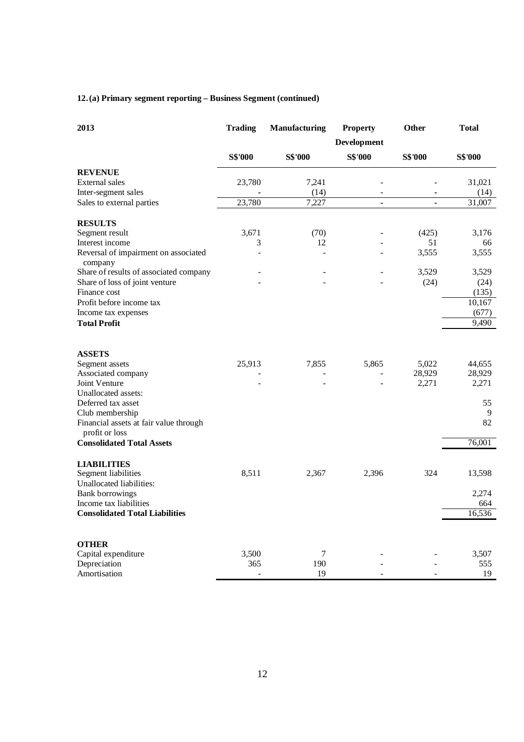# **12.(a) Primary segment reporting – Business Segment (continued)**

| 2013                                                     | <b>Trading</b> | Manufacturing  | <b>Property</b> | Other                    | <b>Total</b>    |
|----------------------------------------------------------|----------------|----------------|-----------------|--------------------------|-----------------|
|                                                          | Development    |                |                 |                          |                 |
|                                                          | <b>S\$'000</b> | <b>S\$'000</b> | <b>S\$'000</b>  | <b>S\$'000</b>           | <b>S\$'000</b>  |
| <b>REVENUE</b>                                           |                |                |                 |                          |                 |
| External sales                                           | 23,780         | 7,241          |                 |                          | 31,021          |
| Inter-segment sales                                      |                | (14)           | $\sim$          |                          | (14)            |
| Sales to external parties                                | 23,780         | 7,227          | $\blacksquare$  | $\overline{\phantom{a}}$ | 31,007          |
| <b>RESULTS</b>                                           |                |                |                 |                          |                 |
| Segment result                                           | 3,671          | (70)           |                 | (425)                    | 3,176           |
| Interest income                                          | 3              | 12             |                 | 51                       | 66              |
| Reversal of impairment on associated<br>company          |                |                |                 | 3,555                    | 3,555           |
| Share of results of associated company                   |                |                |                 | 3,529                    | 3,529           |
| Share of loss of joint venture                           |                |                |                 | (24)                     | (24)            |
| Finance cost<br>Profit before income tax                 |                |                |                 |                          | (135)           |
| Income tax expenses                                      |                |                |                 |                          | 10,167<br>(677) |
| <b>Total Profit</b>                                      |                |                |                 |                          | 9,490           |
|                                                          |                |                |                 |                          |                 |
| <b>ASSETS</b>                                            |                |                |                 |                          |                 |
| Segment assets                                           | 25,913         | 7,855          | 5,865           | 5,022                    | 44,655          |
| Associated company                                       |                |                |                 | 28,929                   | 28,929          |
| Joint Venture<br>Unallocated assets:                     |                |                |                 | 2,271                    | 2,271           |
| Deferred tax asset                                       |                |                |                 |                          | 55              |
| Club membership                                          |                |                |                 |                          | 9               |
| Financial assets at fair value through<br>profit or loss |                |                |                 |                          | 82              |
| <b>Consolidated Total Assets</b>                         |                |                |                 |                          | 76,001          |
| <b>LIABILITIES</b>                                       |                |                |                 |                          |                 |
| Segment liabilities                                      | 8,511          | 2,367          | 2,396           | 324                      | 13,598          |
| Unallocated liabilities:                                 |                |                |                 |                          |                 |
| <b>Bank borrowings</b>                                   |                |                |                 |                          | 2,274           |
| Income tax liabilities                                   |                |                |                 |                          | 664             |
| <b>Consolidated Total Liabilities</b>                    |                |                |                 |                          | 16,536          |
| <b>OTHER</b>                                             |                |                |                 |                          |                 |
| Capital expenditure                                      | 3,500          | 7              |                 |                          | 3,507           |
| Depreciation                                             | 365            | 190            |                 |                          | 555             |
| Amortisation                                             |                | 19             |                 |                          | 19              |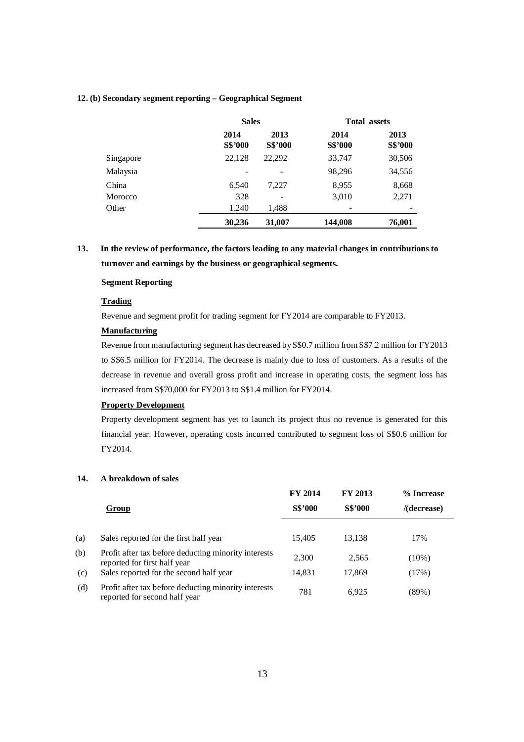#### **12. (b) Secondary segment reporting – Geographical Segment**

|           | <b>Sales</b>    |                          | <b>Total assets</b> |                 |
|-----------|-----------------|--------------------------|---------------------|-----------------|
|           | 2014<br>S\$'000 | 2013<br>S\$'000          | 2014<br>S\$'000     | 2013<br>S\$'000 |
| Singapore | 22,128          | 22,292                   | 33,747              | 30,506          |
| Malaysia  |                 |                          | 98,296              | 34,556          |
| China     | 6,540           | 7.227                    | 8,955               | 8,668           |
| Morocco   | 328             | $\overline{\phantom{0}}$ | 3,010               | 2,271           |
| Other     | 1,240           | 1,488                    |                     |                 |
|           | 30,236          | 31,007                   | 144,008             | 76,001          |

**13. In the review of performance, the factors leading to any material changes in contributions to turnover and earnings by the business or geographical segments.**

### **Segment Reporting**

#### **Trading**

Revenue and segment profit for trading segment for FY2014 are comparable to FY2013.

#### **Manufacturing**

Revenue from manufacturing segment has decreased byS\$0.7 million from S\$7.2 million for FY2013 to S\$6.5 million for FY2014. The decrease is mainly due to loss of customers. As a results of the decrease in revenue and overall gross profit and increase in operating costs, the segment loss has increased from S\$70,000 for FY2013 to S\$1.4 million for FY2014.

## **Property Development**

Property development segment has yet to launch its project thus no revenue is generated for this financial year. However, operating costs incurred contributed to segment loss of S\$0.6 million for FY2014.

## **14. A breakdown of sales**

|     |                                                                                       | <b>FY 2014</b> | <b>FY 2013</b> | % Increase     |
|-----|---------------------------------------------------------------------------------------|----------------|----------------|----------------|
|     | Group                                                                                 | S\$'000        | <b>S\$'000</b> | $/$ (decrease) |
| (a) | Sales reported for the first half year                                                | 15,405         | 13,138         | 17%            |
|     |                                                                                       |                |                |                |
| (b) | Profit after tax before deducting minority interests<br>reported for first half year  | 2,300          | 2,565          | $(10\%)$       |
| (c) | Sales reported for the second half year                                               | 14,831         | 17,869         | (17%)          |
| (d) | Profit after tax before deducting minority interests<br>reported for second half year | 781            | 6.925          | (89%)          |